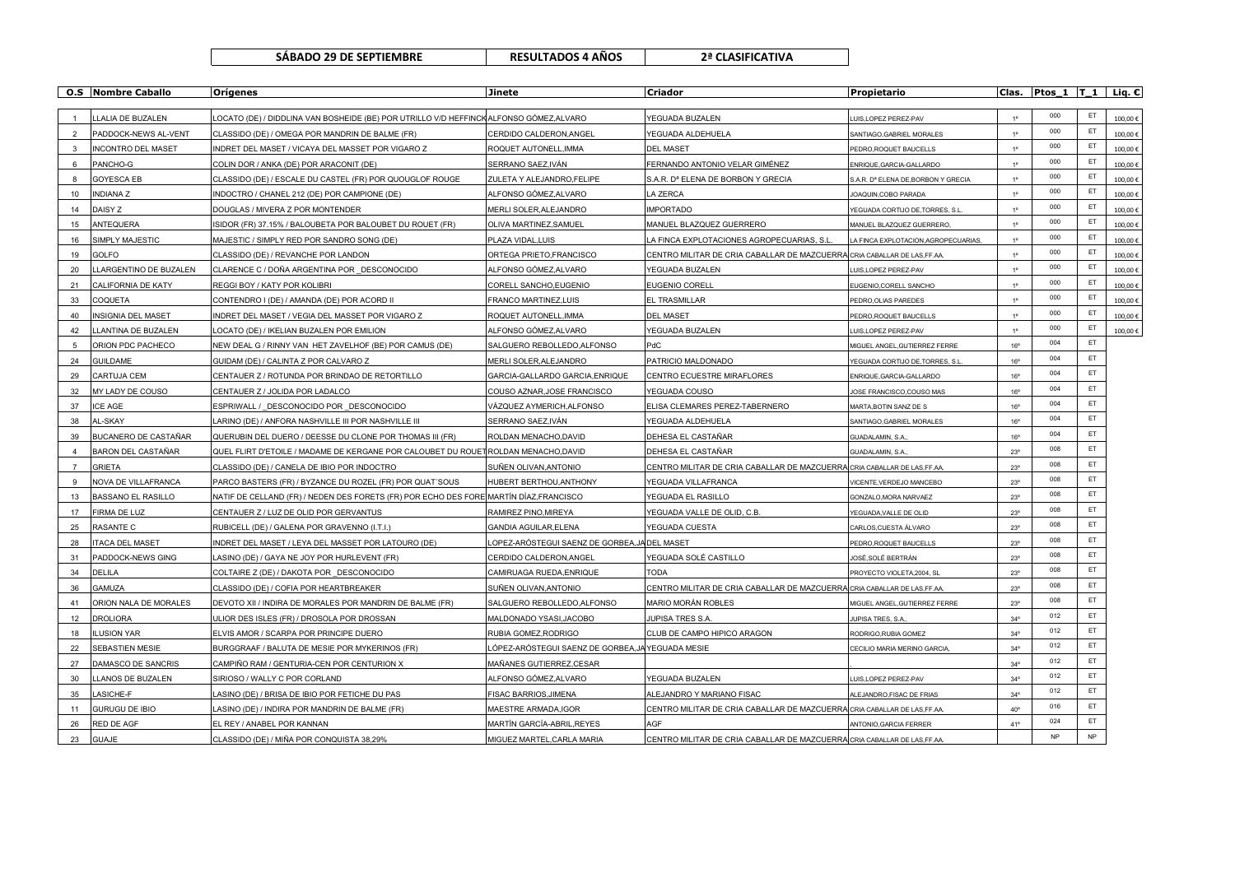| SABADO 29 DE SEPTIEMBRE | <b>RES</b> |
|-------------------------|------------|
|-------------------------|------------|

**SÁBADO 29 DE SEPTIEMBRE RESULTADOS 4 AÑOS 2ª CLASIFICATIVA**

|                | <b>O.S</b> Nombre Caballo | Orígenes                                                                               | <b>Jinete</b>                                    | Criador                                                                   | Propietario                                       |                | Clas. Ptos_1  T_1   Liq. $C$ |           |         |
|----------------|---------------------------|----------------------------------------------------------------------------------------|--------------------------------------------------|---------------------------------------------------------------------------|---------------------------------------------------|----------------|------------------------------|-----------|---------|
|                | LLALIA DE BUZALEN         | LOCATO (DE) / DIDDLINA VAN BOSHEIDE (BE) POR UTRILLO V/D HEFFINCK ALFONSO GÓMEZ,ALVARO |                                                  | YEGUADA BUZALEN                                                           |                                                   |                | 000                          | ET        | 100,00€ |
| $\overline{2}$ | PADDOCK-NEWS AL-VENT      | CLASSIDO (DE) / OMEGA POR MANDRIN DE BALME (FR)                                        | CERDIDO CALDERON, ANGEL                          | YEGUADA ALDEHUELA                                                         | UIS, LOPEZ PEREZ-PAV<br>SANTIAGO, GABRIEL MORALES | $1^{\circ}$    | 000                          | ET        | 100,00€ |
| 3              | <b>INCONTRO DEL MASET</b> | INDRET DEL MASET / VICAYA DEL MASSET POR VIGARO Z                                      | ROQUET AUTONELL, IMMA                            | <b>DEL MASET</b>                                                          | PEDRO, ROQUET BAUCELLS                            | 10             | 000                          | ET        | 100,00€ |
| 6              | PANCHO-G                  | COLIN DOR / ANKA (DE) POR ARACONIT (DE)                                                | SERRANO SAEZ, IVÁN                               | FERNANDO ANTONIO VELAR GIMÉNEZ                                            | ENRIQUE, GARCIA-GALLARDO                          | 10             | 000                          | ET        | 100,00€ |
|                | <b>GOYESCA EB</b>         | CLASSIDO (DE) / ESCALE DU CASTEL (FR) POR QUOUGLOF ROUGE                               | ZULETA Y ALEJANDRO, FELIPE                       | S.A.R. D <sup>a</sup> ELENA DE BORBON Y GRECIA                            | S.A.R. D <sup>®</sup> ELENA DE, BORBON Y GRECIA   | $1^{\circ}$    | 000                          | ET        | 100,00€ |
| 10             | <b>INDIANAZ</b>           | INDOCTRO / CHANEL 212 (DE) POR CAMPIONE (DE)                                           | ALFONSO GÓMEZ,ALVARO                             | A ZERCA                                                                   | JOAQUIN, COBO PARADA                              | 10             | 000                          | ET        | 100,00€ |
| 14             | DAISY Z                   | DOUGLAS / MIVERA Z POR MONTENDER                                                       | MERLI SOLER, ALEJANDRO                           | <b>IMPORTADO</b>                                                          | YEGUADA CORTIJO DE, TORRES, S.I.                  | 10             | 000                          | ET        | 100,00€ |
| 15             | <b>ANTEQUERA</b>          | ISIDOR (FR) 37.15% / BALOUBETA POR BALOUBET DU ROUET (FR)                              | OLIVA MARTINEZ, SAMUEL                           | MANUEL BLAZQUEZ GUERRERO                                                  | MANUEL BLAZQUEZ GUERRERO,                         | 10             | 000                          | ET        | 100,00€ |
| 16             | SIMPLY MAJESTIC           | MAJESTIC / SIMPLY RED POR SANDRO SONG (DE)                                             | PLAZA VIDAL, LUIS                                | A FINCA EXPLOTACIONES AGROPECUARIAS, S.L                                  | LA FINCA EXPLOTACION, AGROPECUARIAS,              | $1^{\circ}$    | 000                          | ET        | 100,00€ |
| 19             | GOLFO                     | CLASSIDO (DE) / REVANCHE POR LANDON                                                    | ORTEGA PRIETO, FRANCISCO                         | CENTRO MILITAR DE CRIA CABALLAR DE MAZCUERRA CRIA CABALLAR DE LAS, FF.AA. |                                                   | 1 <sup>0</sup> | 000                          | ET        | 100,00€ |
| 20             | LLARGENTINO DE BUZALEN    | CLARENCE C / DOÑA ARGENTINA POR DESCONOCIDO                                            | ALFONSO GÓMEZ,ALVARO                             | YEGUADA BUZALEN                                                           | UIS, LOPEZ PEREZ-PAV                              | $1^{\circ}$    | 000                          | ET        | 100,00€ |
| 21             | CALIFORNIA DE KATY        | REGGI BOY / KATY POR KOLIBRI                                                           | CORELL SANCHO, EUGENIO                           | <b>EUGENIO CORELL</b>                                                     | EUGENIO, CORELL SANCHO                            | $1^{\circ}$    | 000                          | ET        | 100,00€ |
| 33             | COQUETA                   | CONTENDRO I (DE) / AMANDA (DE) POR ACORD II                                            | FRANCO MARTINEZ, LUIS                            | EL TRASMILLAR                                                             | PEDRO, OLIAS PAREDES                              | 10             | 000                          | ET        | 100,00€ |
| 40             | <b>INSIGNIA DEL MASET</b> | INDRET DEL MASET / VEGIA DEL MASSET POR VIGARO Z                                       | ROQUET AUTONELL, IMMA                            | <b>DEL MASET</b>                                                          | PEDRO, ROQUET BAUCELLS                            | 10             | 000                          | ET        | 100,00€ |
| 42             | LLANTINA DE BUZALEN       | LOCATO (DE) / IKELIAN BUZALEN POR EMILION                                              | ALFONSO GÓMEZ,ALVARO                             | YEGUADA BUZALEN                                                           | LUIS, LOPEZ PEREZ-PAV                             | 10             | 000                          | ET        | 100,00€ |
| 5              | ORION PDC PACHECO         | NEW DEAL G / RINNY VAN HET ZAVELHOF (BE) POR CAMUS (DE)                                | SALGUERO REBOLLEDO, ALFONSO                      | PdC                                                                       | MIGUEL ANGEL, GUTIERREZ FERRE                     | 16°            | 004                          | ET        |         |
| 24             | <b>GUILDAME</b>           | GUIDAM (DE) / CALINTA Z POR CALVARO Z                                                  | MERLI SOLER, ALEJANDRO                           | PATRICIO MALDONADO                                                        | YEGUADA CORTIJO DE, TORRES, S.I                   | $16^{\circ}$   | 004                          | ET        |         |
| 29             | CARTUJA CEM               | CENTAUER Z / ROTUNDA POR BRINDAO DE RETORTILLO                                         | GARCIA-GALLARDO GARCIA, ENRIQUE                  | CENTRO ECUESTRE MIRAFLORES                                                | ENRIQUE, GARCIA-GALLARDO                          | $16^{\circ}$   | 004                          | ET        |         |
| 32             | MY LADY DE COUSO          | CENTAUER Z / JOLIDA POR LADALCO                                                        | COUSO AZNAR, JOSE FRANCISCO                      | YEGUADA COUSO                                                             | JOSE FRANCISCO.COUSO MAS                          | $16^{\circ}$   | 004                          | ET.       |         |
| 37             | <b>ICE AGE</b>            | ESPRIWALL / DESCONOCIDO POR DESCONOCIDO                                                | VÁZQUEZ AYMERICH.ALFONSO                         | ELISA CLEMARES PEREZ-TABERNERO                                            | MARTA, BOTIN SANZ DE S                            | $16^{\circ}$   | 004                          | ET.       |         |
| 38             | AL-SKAY                   | LARINO (DE) / ANFORA NASHVILLE III POR NASHVILLE III                                   | SERRANO SAEZ, IVÁN                               | YEGUADA ALDEHUELA                                                         | SANTIAGO, GABRIEL MORALES                         | $16^{\circ}$   | 004                          | ET        |         |
| 39             | BUCANERO DE CASTAÑAR      | QUERUBIN DEL DUERO / DEESSE DU CLONE POR THOMAS III (FR)                               | ROLDAN MENACHO, DAVID                            | DEHESA EL CASTAÑAR                                                        | GUADALAMIN, S.A                                   | $16^{\circ}$   | 004                          | ET        |         |
|                | BARON DEL CASTAÑAR        | QUEL FLIRT D'ETOILE / MADAME DE KERGANE POR CALOUBET DU ROUET ROLDAN MENACHO, DAVID    |                                                  | DEHESA EL CASTAÑAR                                                        | GUADALAMIN, S.A                                   | $23^{\circ}$   | 008                          | ET        |         |
| $\overline{7}$ | <b>GRIETA</b>             | CLASSIDO (DE) / CANELA DE IBIO POR INDOCTRO                                            | SUÑEN OLIVAN, ANTONIO                            | CENTRO MILITAR DE CRIA CABALLAR DE MAZCUERRA CRIA CABALLAR DE LAS, FF.AA. |                                                   | $23^{\circ}$   | 008                          | ET        |         |
| 9              | NOVA DE VILLAFRANCA       | PARCO BASTERS (FR) / BYZANCE DU ROZEL (FR) POR QUAT'SOUS                               | HUBERT BERTHOU, ANTHONY                          | YEGUADA VILLAFRANCA                                                       | VICENTE, VERDEJO MANCEBO                          | $23^{\circ}$   | 008                          | ET        |         |
| 13             | <b>BASSANO EL RASILLO</b> | NATIF DE CELLAND (FR) / NEDEN DES FORETS (FR) POR ECHO DES FORE MARTÍN DÍAZ,FRANCISCO  |                                                  | YEGUADA EL RASILLO                                                        | GONZALO, MORA NARVAEZ                             | $23^{\circ}$   | 008                          | ET        |         |
| 17             | <b>FIRMA DE LUZ</b>       | CENTAUER Z / LUZ DE OLID POR GERVANTUS                                                 | RAMIREZ PINO, MIREYA                             | YEGUADA VALLE DE OLID. C.B                                                | YEGUADA, VALLE DE OLID                            | $23^{\circ}$   | 008                          | ET        |         |
| 25             | <b>RASANTE C</b>          | RUBICELL (DE) / GALENA POR GRAVENNO (I.T.I.)                                           | GANDIA AGUILAR, ELENA                            | YEGUADA CUESTA                                                            | CARLOS, CUESTA ÁLVARO                             | $23^{\circ}$   | 008                          | ET        |         |
| 28             | <b>ITACA DEL MASET</b>    | INDRET DEL MASET / LEYA DEL MASSET POR LATOURO (DE)                                    | LOPEZ-ARÓSTEGUI SAENZ DE GORBEA,JA DEL MASET     |                                                                           | PEDRO, ROQUET BAUCELLS                            | $23^\circ$     | 008                          | ET        |         |
| 31             | PADDOCK-NEWS GING         | LASINO (DE) / GAYA NE JOY POR HURLEVENT (FR)                                           | CERDIDO CALDERON, ANGEL                          | YEGUADA SOLÉ CASTILLO                                                     | JOSÉ,SOLÉ BERTRÁN                                 | $23^\circ$     | 008                          | ET        |         |
| 34             | DELILA                    | COLTAIRE Z (DE) / DAKOTA POR DESCONOCIDO                                               | CAMIRUAGA RUEDA, ENRIQUE                         | <b>TODA</b>                                                               | PROYECTO VIOLETA, 2004, SL                        | $23^\circ$     | 008                          | ET        |         |
| 36             | GAMUZA                    | CLASSIDO (DE) / COFIA POR HEARTBREAKER                                                 | SUÑEN OLIVAN, ANTONIO                            | CENTRO MILITAR DE CRIA CABALLAR DE MAZCUERRA CRIA CABALLAR DE LAS, FF.AA. |                                                   | $23^{\circ}$   | 008                          | ET        |         |
| 41             | ORION NALA DE MORALES     | DEVOTO XII / INDIRA DE MORALES POR MANDRIN DE BALME (FR)                               | SALGUERO REBOLLEDO, ALFONSO                      | MARIO MORÁN ROBLES                                                        | MIGUEL ANGEL, GUTIERREZ FERRE                     | $23^{\circ}$   | 008                          | ET        |         |
| 12             | <b>DROLIORA</b>           | ULIOR DES ISLES (FR) / DROSOLA POR DROSSAN                                             | MALDONADO YSASI, JACOBO                          | JUPISA TRES S.A.                                                          | JUPISA TRES, S.A.                                 | $34^\circ$     | 012                          | ET        |         |
| 18             | <b>LUSION YAR</b>         | ELVIS AMOR / SCARPA POR PRINCIPE DUERO                                                 | RUBIA GOMEZ, RODRIGO                             | CLUB DE CAMPO HIPICO ARAGON                                               | RODRIGO, RUBIA GOMEZ                              | $34^\circ$     | 012                          | ET        |         |
| 22             | SEBASTIEN MESIE           | BURGGRAAF / BALUTA DE MESIE POR MYKERINOS (FR)                                         | LÓPEZ-ARÓSTEGUI SAENZ DE GORBEA,JA YEGUADA MESIE |                                                                           | CECILIO MARIA MERINO GARCIA                       | $34^\circ$     | 012                          | ET        |         |
| 27             | DAMASCO DE SANCRIS        | CAMPIÑO RAM / GENTURIA-CEN POR CENTURION X                                             | MAÑANES GUTIERREZ,CESAR                          |                                                                           |                                                   | $34^\circ$     | 012                          | ET        |         |
| 30             | LLANOS DE BUZALEN         | SIRIOSO / WALLY C POR CORLAND                                                          | ALFONSO GÓMEZ,ALVARO                             | YEGUADA BUZALEN                                                           | UIS, LOPEZ PEREZ-PAV                              | $34^\circ$     | 012                          | ET        |         |
| 35             | LASICHE-F                 | LASINO (DE) / BRISA DE IBIO POR FETICHE DU PAS                                         | FISAC BARRIOS, JIMENA                            | ALEJANDRO Y MARIANO FISAC                                                 | ALEJANDRO,FISAC DE FRIAS                          | $34^\circ$     | 012                          | ET        |         |
| 11             | <b>GURUGU DE IBIO</b>     | LASINO (DE) / INDIRA POR MANDRIN DE BALME (FR)                                         | MAESTRE ARMADA, IGOR                             | CENTRO MILITAR DE CRIA CABALLAR DE MAZCUERRA CRIA CABALLAR DE LAS, FF.AA. |                                                   | $40^{\circ}$   | 016                          | ET        |         |
| 26             | RED DE AGF                | EL REY / ANABEL POR KANNAN                                                             | MARTÍN GARCÍA-ABRIL.REYES                        | AGF                                                                       | ANTONIO.GARCIA FERRER                             | 41°            | 024                          | ET        |         |
| 23             | <b>GUAJE</b>              | CLASSIDO (DE) / MIÑA POR CONQUISTA 38.29%                                              | MIGUEZ MARTEL.CARLA MARIA                        | CENTRO MILITAR DE CRIA CABALLAR DE MAZCUERRA CRIA CABALLAR DE LAS, FF.AA. |                                                   |                | <b>NP</b>                    | <b>NP</b> |         |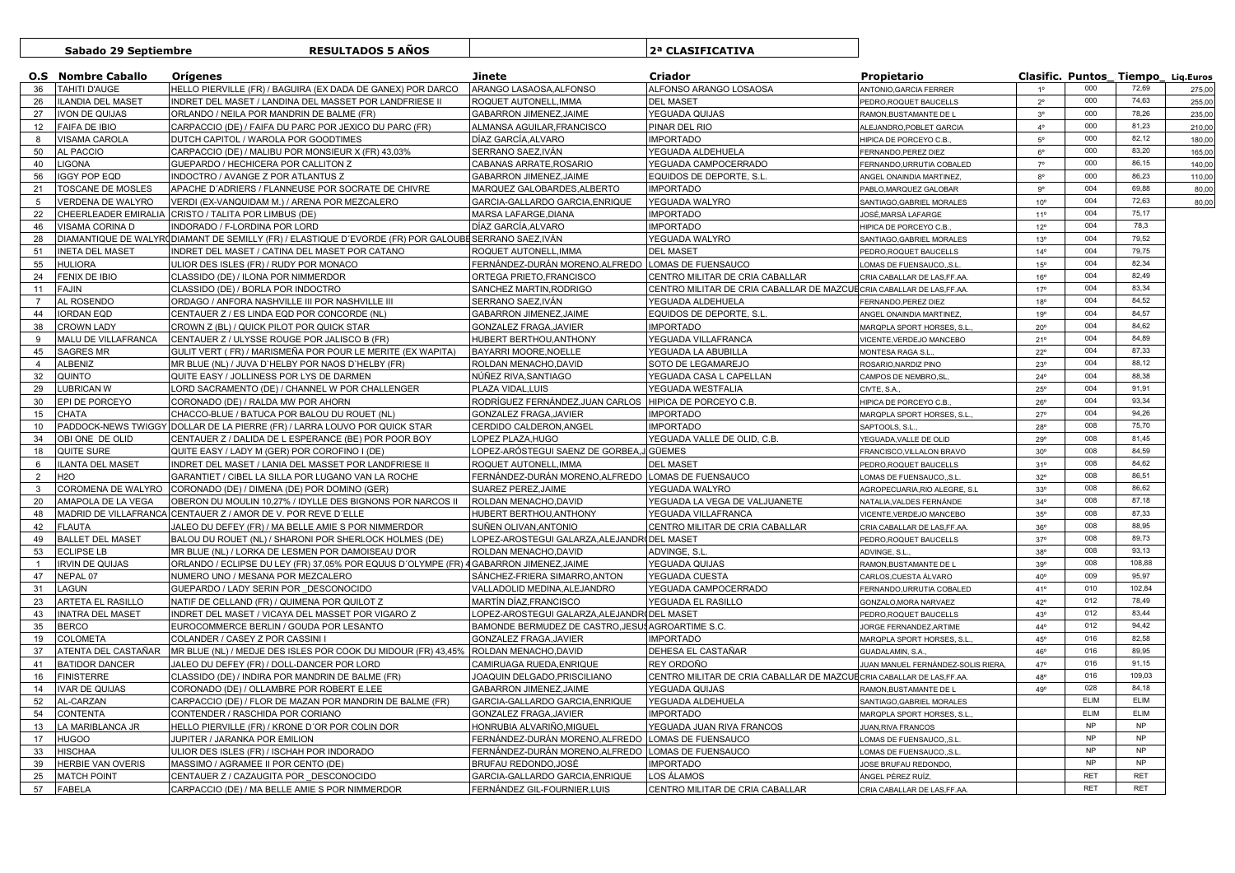|                | Sabado 29 Septiembre         | <b>RESULTADOS 5 ANOS</b>                                                                              |                                                         | 2ª CLASIFICATIVA                                                      |                                              |                                   |            |            |        |
|----------------|------------------------------|-------------------------------------------------------------------------------------------------------|---------------------------------------------------------|-----------------------------------------------------------------------|----------------------------------------------|-----------------------------------|------------|------------|--------|
|                | <b>O.S</b> Nombre Caballo    | <b>Orígenes</b>                                                                                       | Jinete                                                  | <b>Criador</b>                                                        | Propietario                                  | Clasific. Puntos Tiempo Lig.Euros |            |            |        |
| 36             | TAHITI D'AUGE                | HELLO PIERVILLE (FR) / BAGUIRA (EX DADA DE GANEX) POR DARCO                                           | ARANGO LASAOSA, ALFONSO                                 | ALFONSO ARANGO LOSAOSA                                                | ANTONIO, GARCIA FERRER                       |                                   | 000        | 72,69      | 275,00 |
| 26             | <b>ILANDIA DEL MASET</b>     | INDRET DEL MASET / LANDINA DEL MASSET POR LANDFRIESE II                                               | ROQUET AUTONELL, IMMA                                   | <b>DEL MASET</b>                                                      | PEDRO, ROQUET BAUCELLS                       | $2^{\circ}$                       | 000        | 74.63      | 255,00 |
| 27             | <b>IVON DE QUIJAS</b>        | ORLANDO / NEILA POR MANDRIN DE BALME (FR)                                                             | GABARRON JIMENEZ, JAIME                                 | YEGUADA QUIJAS                                                        | RAMON, BUSTAMANTE DE L                       | 3 <sup>o</sup>                    | 000        | 78,26      | 235,00 |
| 12             | <b>FAIFA DE IBIO</b>         | CARPACCIO (DE) / FAIFA DU PARC POR JEXICO DU PARC (FR)                                                | ALMANSA AGUILAR, FRANCISCO                              | PINAR DEL RIO                                                         | ALEJANDRO, POBLET GARCIA                     | $4^{\circ}$                       | 000        | 81.23      | 210,00 |
| 8              | <b>VISAMA CAROLA</b>         | DUTCH CAPITOL / WAROLA POR GOODTIMES                                                                  | DÍAZ GARCÍA, ALVARO                                     | <b>IMPORTADO</b>                                                      | HIPICA DE PORCEYO C.B.                       | $5^{\circ}$                       | 000        | 82,12      | 180,00 |
| 50             | AL PACCIO                    | CARPACCIO (DE) / MALIBU POR MONSIEUR X (FR) 43,03%                                                    | SERRANO SAEZ, IVÁN                                      | YEGUADA ALDEHUELA                                                     | FERNANDO, PEREZ DIEZ                         | $6^{\rm o}$                       | 000        | 83,20      | 165,00 |
| 40             | <b>LIGONA</b>                | GUEPARDO / HECHICERA POR CALLITON Z                                                                   | CABANAS ARRATE, ROSARIO                                 | YEGUADA CAMPOCERRADO                                                  | FERNANDO, URRUTIA COBALED                    | $7^\circ$                         | 000        | 86,15      | 140.00 |
| 56             | <b>IGGY POP EQD</b>          | INDOCTRO / AVANGE Z POR ATLANTUS Z                                                                    | GABARRON JIMENEZ, JAIME                                 | EQUIDOS DE DEPORTE, S.L                                               | ANGEL ONAINDIA MARTINEZ,                     | $8^{\circ}$                       | 000        | 86,23      | 110,00 |
| 21             | TOSCANE DE MOSLES            | APACHE D'ADRIERS / FLANNEUSE POR SOCRATE DE CHIVRE                                                    | MARQUEZ GALOBARDES, ALBERTO                             | <b>IMPORTADO</b>                                                      | PABLO, MARQUEZ GALOBAR                       | $9^{\circ}$                       | 004        | 69,88      | 80,00  |
| 5              | VERDENA DE WALYRO            | VERDI (EX-VANQUIDAM M.) / ARENA POR MEZCALERO                                                         | GARCIA-GALLARDO GARCIA, ENRIQUE                         | YEGUADA WALYRO                                                        | SANTIAGO, GABRIEL MORALES                    | $10^{\circ}$                      | 004        | 72,63      | 80,00  |
| 22             | CHEERLEADER EMIRALIA         | CRISTO / TALITA POR LIMBUS (DE)                                                                       | MARSA LAFARGE, DIANA                                    | <b>IMPORTADO</b>                                                      | JOSÉ,MARSÁ LAFARGE                           | 11 <sup>°</sup>                   | 004        | 75,17      |        |
| 46             | VISAMA CORINA D              | NDORADO / F-LORDINA POR LORD                                                                          | DÍAZ GARCÍA, ALVARO                                     | <b>IMPORTADO</b>                                                      | HIPICA DE PORCEYO C.B.                       | $12^{\circ}$                      | 004        | 78,3       |        |
| 28             |                              | DIAMANTIQUE DE WALYRODIAMANT DE SEMILLY (FR) / ELASTIQUE D'EVORDE (FR) POR GALOUBE SERRANO SAEZ, IVÁN |                                                         | YEGUADA WALYRO                                                        | SANTIAGO, GABRIEL MORALES                    | $13^{\circ}$                      | 004        | 79,52      |        |
| 51             | <b>INETA DEL MASET</b>       | INDRET DEL MASET / CATINA DEL MASET POR CATANO                                                        | ROQUET AUTONELL, IMMA                                   | <b>DEL MASET</b>                                                      | PEDRO, ROQUET BAUCELLS                       | $14^{\circ}$                      | 004        | 79,75      |        |
| 55             | <b>HULIORA</b>               | ULIOR DES ISLES (FR) / RUDY POR MONACO                                                                | FERNÁNDEZ-DURÁN MORENO, ALFREDO                         | LOMAS DE FUENSAUCO                                                    | OMAS DE FUENSAUCO,,S.L                       | $15^{\circ}$                      | 004        | 82,34      |        |
| 24             | FENIX DE IBIO                | CLASSIDO (DE) / ILONA POR NIMMERDOR                                                                   | ORTEGA PRIETO, FRANCISCO                                | CENTRO MILITAR DE CRIA CABALLAR                                       | CRIA CABALLAR DE LAS,FF.AA                   | $16^{\circ}$                      | 004        | 82,49      |        |
| 11             | <b>FAJIN</b>                 | CLASSIDO (DE) / BORLA POR INDOCTRO                                                                    | SANCHEZ MARTIN, RODRIGO                                 | CENTRO MILITAR DE CRIA CABALLAR DE MAZCUECRIA CABALLAR DE LAS, FF.AA  |                                              | $17^{\circ}$                      | 004        | 83,34      |        |
| $\overline{7}$ | AL ROSENDO                   | ORDAGO / ANFORA NASHVILLE III POR NASHVILLE III                                                       | SERRANO SAEZ, IVÁN                                      | YEGUADA ALDEHUELA                                                     | <b>ERNANDO, PEREZ DIEZ</b>                   | $18^{\circ}$                      | 004        | 84.52      |        |
| 44             | <b>IORDAN EQD</b>            | CENTAUER Z / ES LINDA EQD POR CONCORDE (NL)                                                           | GABARRON JIMENEZ, JAIME                                 | EQUIDOS DE DEPORTE, S.L                                               | ANGEL ONAINDIA MARTINEZ                      | 19°                               | 004        | 84,57      |        |
| 38             | <b>CROWN LADY</b>            | CROWN Z (BL) / QUICK PILOT POR QUICK STAR                                                             | GONZALEZ FRAGA, JAVIER                                  | <b>IMPORTADO</b>                                                      | MARQPLA SPORT HORSES, S.L                    | $20^{\circ}$                      | 004        | 84,62      |        |
| 9              | MALU DE VILLAFRANCA          | CENTAUER Z / ULYSSE ROUGE POR JALISCO B (FR)                                                          | HUBERT BERTHOU, ANTHONY                                 | YEGUADA VILLAFRANCA                                                   | VICENTE, VERDEJO MANCEBO                     | 21°                               | 004        | 84,89      |        |
| 45             | SAGRES MR                    | GULIT VERT ( FR) / MARISMEÑA POR POUR LE MERITE (EX WAPITA)                                           | BAYARRI MOORE, NOELLE                                   | YEGUADA LA ABUBILLA                                                   | MONTESA RAGA S.L.                            | $22^{\circ}$                      | 004        | 87,33      |        |
| $\overline{4}$ |                              |                                                                                                       |                                                         |                                                                       |                                              | $23^{\circ}$                      | 004        | 88,12      |        |
|                | <b>ALBENIZ</b><br>QUINTO     | MR BLUE (NL) / JUVA D'HELBY POR NAOS D'HELBY (FR)<br>QUITE EASY / JOLLINESS POR LYS DE DARMEN         | ROLDAN MENACHO, DAVID<br>NÚÑEZ RIVA, SANTIAGO           | SOTO DE LEGAMAREJO<br>YEGUADA CASA L CAPELLAN                         | ROSARIO, NARDIZ PINO<br>CAMPOS DE NEMBRO, SL | $24^{\circ}$                      | 004        | 88,38      |        |
| 32             |                              |                                                                                                       |                                                         |                                                                       |                                              |                                   | 004        | 91,91      |        |
| 29             | <b>LUBRICAN W</b>            | ORD SACRAMENTO (DE) / CHANNEL W POR CHALLENGER                                                        | PLAZA VIDAL, LUIS                                       | YEGUADA WESTFALIA                                                     | CIVTE, S.A.                                  | $25^{\circ}$                      | 004        | 93,34      |        |
| 30             | EPI DE PORCEYO               | CORONADO (DE) / RALDA MW POR AHORN                                                                    | RODRÍGUEZ FERNÁNDEZ, JUAN CARLOS HIPICA DE PORCEYO C.B. |                                                                       | HIPICA DE PORCEYO C.B.                       | $26^{\circ}$                      |            |            |        |
| 15             | <b>CHATA</b>                 | CHACCO-BLUE / BATUCA POR BALOU DU ROUET (NL)                                                          | GONZALEZ FRAGA.JAVIER                                   | <b>IMPORTADO</b>                                                      | MARQPLA SPORT HORSES, S.L                    | $27^\circ$                        | 004        | 94,26      |        |
| 10             |                              | PADDOCK-NEWS TWIGGY DOLLAR DE LA PIERRE (FR) / LARRA LOUVO POR QUICK STAR                             | CERDIDO CALDERON, ANGEL                                 | <b>IMPORTADO</b>                                                      | SAPTOOLS, S.L.                               | 28°                               | 008        | 75,70      |        |
| 34             | OBI ONE DE OLID              | CENTAUER Z / DALIDA DE L ESPERANCE (BE) POR POOR BOY                                                  | LOPEZ PLAZA, HUGO                                       | YEGUADA VALLE DE OLID, C.B.                                           | YEGUADA, VALLE DE OLID                       | 29°                               | 008        | 81,45      |        |
| 18             | QUITE SURE                   | QUITE EASY / LADY M (GER) POR COROFINO I (DE)                                                         | LOPEZ-ARÓSTEGUI SAENZ DE GORBEA,J GÜEMES                |                                                                       | FRANCISCO, VILLALON BRAVO                    | $30^{\circ}$                      | 008        | 84,59      |        |
| 6              | <b>ILANTA DEL MASET</b>      | INDRET DEL MASET / LANIA DEL MASSET POR LANDFRIESE II                                                 | ROQUET AUTONELL.IMMA                                    | <b>DEL MASET</b>                                                      | PEDRO, ROQUET BAUCELLS                       | 31°                               | 008        | 84,62      |        |
| 2              | <b>H2O</b>                   | GARANTIET / CIBEL LA SILLA POR LUGANO VAN LA ROCHE                                                    | FERNÁNDEZ-DURÁN MORENO, ALFREDO LOMAS DE FUENSAUCO      |                                                                       | OMAS DE FUENSAUCO., S.L                      | $32^{\circ}$                      | 008        | 86,51      |        |
| $\mathbf{3}$   | COROMENA DE WALYRO           | CORONADO (DE) / DIMENA (DE) POR DOMINO (GER)                                                          | SUAREZ PEREZ, JAIME                                     | YEGUADA WALYRO                                                        | AGROPECUARIA,RIO ALEGRE, S.L                 | $33^{\circ}$                      | 008        | 86,62      |        |
| 20             | AMAPOLA DE LA VEGA           | OBERON DU MOULIN 10,27% / IDYLLE DES BIGNONS POR NARCOS II                                            | ROLDAN MENACHO, DAVID                                   | YEGUADA LA VEGA DE VALJUANETE                                         | NATALIA, VALDES FERNÁNDE                     | $34^{\circ}$                      | 008        | 87,18      |        |
| 48             | <b>MADRID DE VILLAFRANCA</b> | CENTAUER Z / AMOR DE V. POR REVE D'ELLE                                                               | HUBERT BERTHOU, ANTHONY                                 | YEGUADA VILLAFRANCA                                                   | VICENTE, VERDEJO MANCEBO                     | $35^\circ$                        | 008        | 87,33      |        |
| 42             | <b>FLAUTA</b>                | JALEO DU DEFEY (FR) / MA BELLE AMIE S POR NIMMERDOR                                                   | SUÑEN OLIVAN.ANTONIO                                    | CENTRO MILITAR DE CRIA CABALLAR                                       | CRIA CABALLAR DE LAS.FF.AA                   | $36^{\circ}$                      | 008        | 88,95      |        |
| 49             | <b>BALLET DEL MASET</b>      | BALOU DU ROUET (NL) / SHARONI POR SHERLOCK HOLMES (DE)                                                | LOPEZ-AROSTEGUI GALARZA, ALEJANDRIDEL MASET             |                                                                       | PEDRO, ROQUET BAUCELLS                       | $37^\circ$                        | 008        | 89,73      |        |
| 53             | <b>ECLIPSE LB</b>            | MR BLUE (NL) / LORKA DE LESMEN POR DAMOISEAU D'OR                                                     | ROLDAN MENACHO, DAVID                                   | ADVINGE, S.L                                                          | ADVINGE, S.L                                 | $38^{\circ}$                      | 008        | 93,13      |        |
| $\overline{1}$ | <b>IRVIN DE QUIJAS</b>       | ORLANDO / ECLIPSE DU LEY (FR) 37,05% POR EQUUS D'OLYMPE (FR) 4 GABARRON JIMENEZ,JAIME                 |                                                         | YEGUADA QUIJAS                                                        | RAMON, BUSTAMANTE DE L                       | 39°                               | 008        | 108,88     |        |
| 47             | NEPAL 07                     | <b>NUMERO UNO / MESANA POR MEZCALERO</b>                                                              | SÁNCHEZ-FRIERA SIMARRO, ANTON                           | YEGUADA CUESTA                                                        | CARLOS, CUESTA ÁLVARO                        | $40^{\circ}$                      | 009        | 95,97      |        |
| 31             | LAGUN                        | GUEPARDO / LADY SERIN POR DESCONOCIDO                                                                 | VALLADOLID MEDINA, ALEJANDRO                            | YEGUADA CAMPOCERRADO                                                  | FERNANDO, URRUTIA COBALED                    | 41°                               | 010        | 102,84     |        |
| 23             | ARTETA EL RASILLO            | NATIF DE CELLAND (FR) / QUIMENA POR QUILOT Z                                                          | MARTÍN DÍAZ, FRANCISCO                                  | YEGUADA EL RASILLO                                                    | GONZALO, MORA NARVAEZ                        | $42^{\circ}$                      | 012        | 78,49      |        |
| 43             | <b>INATRA DEL MASET</b>      | INDRET DEL MASET / VICAYA DEL MASSET POR VIGARO Z                                                     | LOPEZ-AROSTEGUI GALARZA, ALEJANDRODEL MASET             |                                                                       | PEDRO, ROQUET BAUCELLS                       | $43^\circ$                        | 012        | 83,44      |        |
| 35             | <b>BERCO</b>                 | EUROCOMMERCE BERLIN / GOUDA POR LESANTO                                                               | BAMONDE BERMUDEZ DE CASTRO, JESUS AGROARTIME S.C.       |                                                                       | JORGE FERNANDEZ.ARTIME                       | 44°                               | 012        | 94,42      |        |
| 19             | <b>COLOMETA</b>              | COLANDER / CASEY Z POR CASSINI I                                                                      | GONZALEZ FRAGA, JAVIER                                  | <b>IMPORTADO</b>                                                      | MARQPLA SPORT HORSES, S.L                    | $45^{\circ}$                      | 016        | 82,58      |        |
| 37             | ATENTA DEL CASTAÑAR          | MR BLUE (NL) / MEDJE DES ISLES POR COOK DU MIDOUR (FR) 43,45% ROLDAN MENACHO,DAVID                    |                                                         | DEHESA EL CASTAÑAR                                                    | GUADALAMIN, S.A.                             | $46^{\circ}$                      | 016        | 89,95      |        |
| 41             | <b>BATIDOR DANCER</b>        | JALEO DU DEFEY (FR) / DOLL-DANCER POR LORD                                                            | CAMIRUAGA RUEDA, ENRIQUE                                | REY ORDOÑO                                                            | JUAN MANUEL FERNÁNDEZ-SOLIS RIERA.           | 47°                               | 016        | 91,15      |        |
| 16             | <b>FINISTERRE</b>            | CLASSIDO (DE) / INDIRA POR MANDRIN DE BALME (FR)                                                      | JOAQUIN DELGADO, PRISCILIANO                            | CENTRO MILITAR DE CRIA CABALLAR DE MAZCUECRIA CABALLAR DE LAS, FF.AA. |                                              | 48°                               | 016        | 109,03     |        |
| 14             | <b>IVAR DE QUIJAS</b>        | CORONADO (DE) / OLLAMBRE POR ROBERT E.LEE                                                             | GABARRON JIMENEZ, JAIME                                 | YEGUADA QUIJAS                                                        | RAMON, BUSTAMANTE DE L                       | 49°                               | 028        | 84,18      |        |
| 52             | AL-CARZAN                    | CARPACCIO (DE) / FLOR DE MAZAN POR MANDRIN DE BALME (FR)                                              | GARCIA-GALLARDO GARCIA, ENRIQUE                         | YEGUADA ALDEHUELA                                                     | SANTIAGO, GABRIEL MORALES                    |                                   | ELIM       | ELIM       |        |
| 54             | <b>CONTENTA</b>              | CONTENDER / RASCHIDA POR CORIANO                                                                      | GONZALEZ FRAGA, JAVIER                                  | <b>IMPORTADO</b>                                                      | <b>MARQPLA SPORT HORSES, S.L</b>             |                                   | ELIM       | ELIM       |        |
| 13             | LA MARIBLANCA JR             | HELLO PIERVILLE (FR) / KRONE D'OR POR COLIN DOR                                                       | HONRUBIA ALVARIÑO,MIGUEL                                | YEGUADA JUAN RIVA FRANCOS                                             | <b>JUAN, RIVA FRANCOS</b>                    |                                   | <b>NP</b>  | <b>NP</b>  |        |
| 17             | <b>HUGOO</b>                 | JUPITER / JARANKA POR EMILION                                                                         | FERNÁNDEZ-DURÁN MORENO, ALFREDO                         | LOMAS DE FUENSAUCO                                                    | OMAS DE FUENSAUCO,,S.L                       |                                   | <b>NP</b>  | NP         |        |
| 33             | <b>HISCHAA</b>               | ULIOR DES ISLES (FR) / ISCHAH POR INDORADO                                                            | FERNÁNDEZ-DURÁN MORENO, ALFREDO LOMAS DE FUENSAUCO      |                                                                       | LOMAS DE FUENSAUCO,, S.L                     |                                   | NP         | NP         |        |
| 39             | <b>HERBIE VAN OVERIS</b>     | MASSIMO / AGRAMEE II POR CENTO (DE)                                                                   | BRUFAU REDONDO.JOSÉ                                     | <b>IMPORTADO</b>                                                      | JOSE BRUFAU REDONDO.                         |                                   | <b>NP</b>  | <b>NP</b>  |        |
| 25             | <b>MATCH POINT</b>           | CENTAUER Z / CAZAUGITA POR DESCONOCIDO                                                                | GARCIA-GALLARDO GARCIA.ENRIQUE                          | LOS ÁLAMOS                                                            | ÁNGEL PÉREZ RUÍZ.                            |                                   | <b>RET</b> | <b>RET</b> |        |
| 57             | <b>FABELA</b>                | CARPACCIO (DE) / MA BELLE AMIE S POR NIMMERDOR                                                        | FERNÁNDEZ GIL-FOURNIER, LUIS                            | CENTRO MILITAR DE CRIA CABALLAR                                       | CRIA CABALLAR DE LAS,FF.AA                   |                                   | <b>RET</b> | <b>RET</b> |        |
|                |                              |                                                                                                       |                                                         |                                                                       |                                              |                                   |            |            |        |

 $\mathsf{r}$